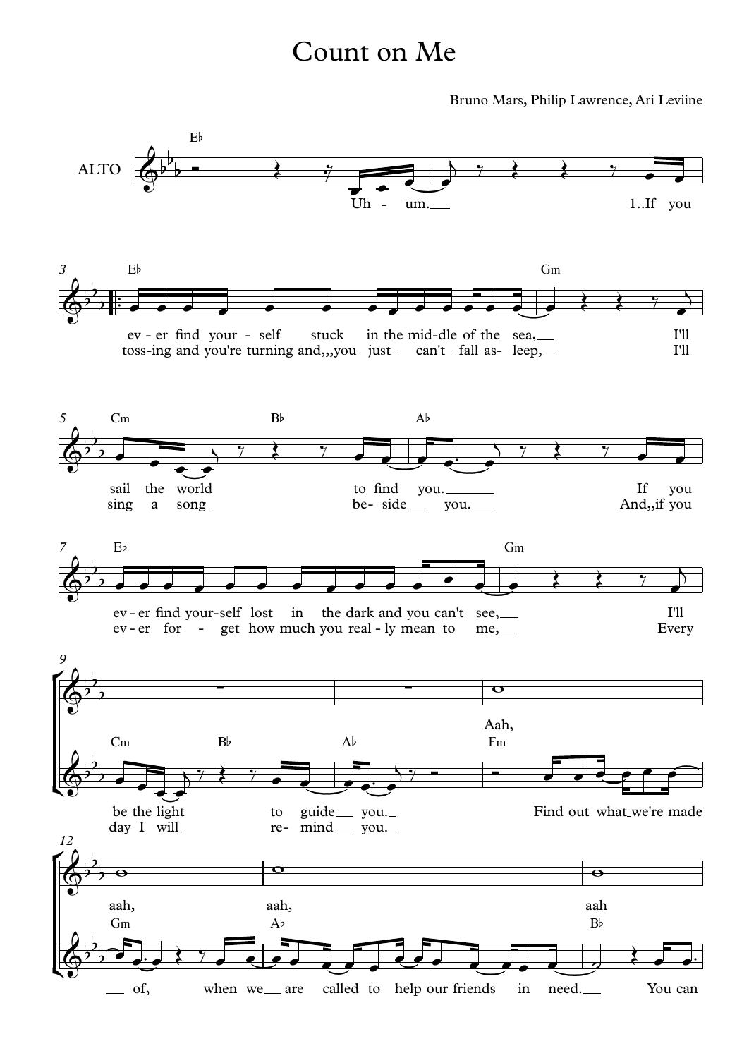## Count on Me

## Bruno Mars, Philip Lawrence, Ari Leviine

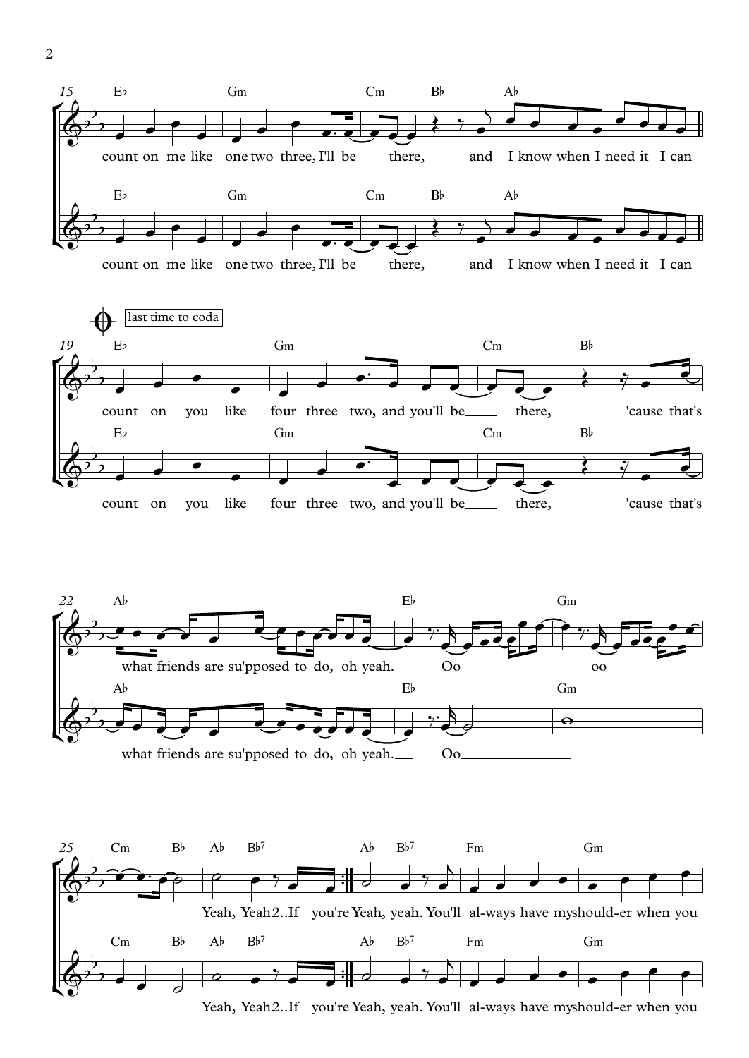





Yeah, Yeah2..If you're Yeah, yeah. You'll al-ways have myshould-er when you